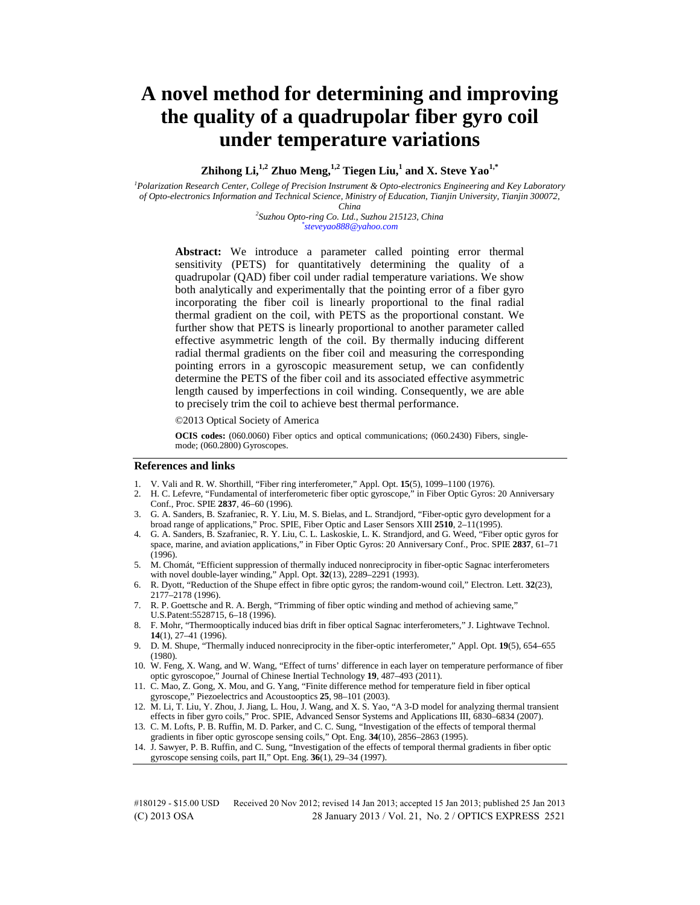# **A novel method for determining and improving the quality of a quadrupolar fiber gyro coil under temperature variations**

 $\boldsymbol{\mathsf{Z}}$ hihong  $\boldsymbol{\mathsf{L}}$ i, $^{1,2}$   $\boldsymbol{\mathsf{Z}}$ huo  $\boldsymbol{\mathsf{Meng,}}^{1,2}$  Tiegen  $\boldsymbol{\mathsf{Liu,}}^{1}$  and  $\boldsymbol{\mathsf{X.}}$  Steve  $\boldsymbol{\mathsf{Yao}^{1,*}}$ 

*1 Polarization Research Center, College of Precision Instrument & Opto-electronics Engineering and Key Laboratory of Opto-electronics Information and Technical Science, Ministry of Education, Tianjin University, Tianjin 300072,* 

*China*<br><sup>2</sup>*Surbou Onto ring Co. Itd. Suzhou Opto-ring Co. Ltd., Suzhou 215123, China \* steveyao888@yahoo.com*

**Abstract:** We introduce a parameter called pointing error thermal sensitivity (PETS) for quantitatively determining the quality of a quadrupolar (QAD) fiber coil under radial temperature variations. We show both analytically and experimentally that the pointing error of a fiber gyro incorporating the fiber coil is linearly proportional to the final radial thermal gradient on the coil, with PETS as the proportional constant. We further show that PETS is linearly proportional to another parameter called effective asymmetric length of the coil. By thermally inducing different radial thermal gradients on the fiber coil and measuring the corresponding pointing errors in a gyroscopic measurement setup, we can confidently determine the PETS of the fiber coil and its associated effective asymmetric length caused by imperfections in coil winding. Consequently, we are able to precisely trim the coil to achieve best thermal performance.

©2013 Optical Society of America

**OCIS codes:** (060.0060) Fiber optics and optical communications; (060.2430) Fibers, singlemode; (060.2800) Gyroscopes.

## **References and links**

- 1. V. Vali and R. W. Shorthill, "Fiber ring interferometer," Appl. Opt. **15**(5), 1099–1100 (1976).
- 2. H. C. Lefevre, "Fundamental of interferometeric fiber optic gyroscope," in Fiber Optic Gyros: 20 Anniversary Conf., Proc. SPIE **2837**, 46–60 (1996).
- 3. G. A. Sanders, B. Szafraniec, R. Y. Liu, M. S. Bielas, and L. Strandjord, "Fiber-optic gyro development for a broad range of applications," Proc. SPIE, Fiber Optic and Laser Sensors XIII **2510**, 2–11(1995).
- 4. G. A. Sanders, B. Szafraniec, R. Y. Liu, C. L. Laskoskie, L. K. Strandjord, and G. Weed, "Fiber optic gyros for space, marine, and aviation applications," in Fiber Optic Gyros: 20 Anniversary Conf., Proc. SPIE **2837**, 61–71 (1996).
- 5. M. Chomát, "Efficient suppression of thermally induced nonreciprocity in fiber-optic Sagnac interferometers with novel double-layer winding," Appl. Opt. **32**(13), 2289–2291 (1993).
- 6. R. Dyott, "Reduction of the Shupe effect in fibre optic gyros; the random-wound coil," Electron. Lett. **32**(23), 2177–2178 (1996).
- 7. R. P. Goettsche and R. A. Bergh, "Trimming of fiber optic winding and method of achieving same," U.S.Patent: 5528715, 6-18 (1996).
- 8. F. Mohr, "Thermooptically induced bias drift in fiber optical Sagnac interferometers," J. Lightwave Technol. **14**(1), 27–41 (1996).
- 9. D. M. Shupe, "Thermally induced nonreciprocity in the fiber-optic interferometer," Appl. Opt. **19**(5), 654–655 (1980).
- 10. W. Feng, X. Wang, and W. Wang, "Effect of turns' difference in each layer on temperature performance of fiber optic gyroscopoe," Journal of Chinese Inertial Technology **19**, 487–493 (2011).
- 11. C. Mao, Z. Gong, X. Mou, and G. Yang, "Finite difference method for temperature field in fiber optical gyroscope," Piezoelectrics and Acoustooptics **25**, 98–101 (2003).
- 12. M. Li, T. Liu, Y. Zhou, J. Jiang, L. Hou, J. Wang, and X. S. Yao, "A 3-D model for analyzing thermal transient effects in fiber gyro coils," Proc. SPIE, Advanced Sensor Systems and Applications III, 6830–6834 (2007).
- 13. C. M. Lofts, P. B. Ruffin, M. D. Parker, and C. C. Sung, "Investigation of the effects of temporal thermal gradients in fiber optic gyroscope sensing coils," Opt. Eng. **34**(10), 2856–2863 (1995).
- 14. J. Sawyer, P. B. Ruffin, and C. Sung, "Investigation of the effects of temporal thermal gradients in fiber optic gyroscope sensing coils, part II," Opt. Eng. **36**(1), 29–34 (1997).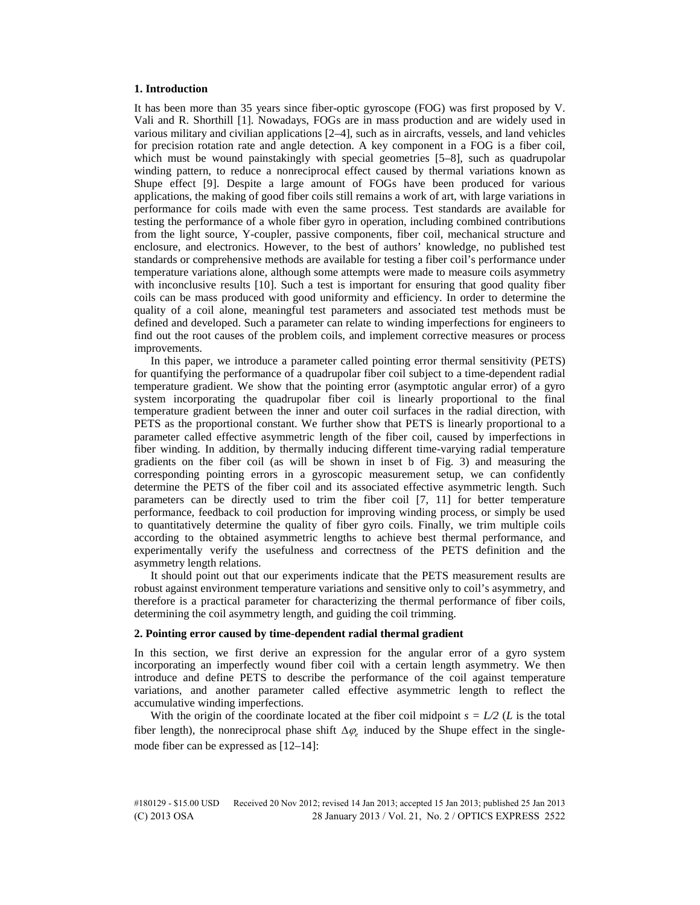## **1. Introduction**

It has been more than 35 years since fiber-optic gyroscope (FOG) was first proposed by V. Vali and R. Shorthill [1]. Nowadays, FOGs are in mass production and are widely used in various military and civilian applications [2–4], such as in aircrafts, vessels, and land vehicles for precision rotation rate and angle detection. A key component in a FOG is a fiber coil, which must be wound painstakingly with special geometries [5–8], such as quadrupolar winding pattern, to reduce a nonreciprocal effect caused by thermal variations known as Shupe effect [9]. Despite a large amount of FOGs have been produced for various applications, the making of good fiber coils still remains a work of art, with large variations in performance for coils made with even the same process. Test standards are available for testing the performance of a whole fiber gyro in operation, including combined contributions from the light source, Y-coupler, passive components, fiber coil, mechanical structure and enclosure, and electronics. However, to the best of authors' knowledge, no published test standards or comprehensive methods are available for testing a fiber coil's performance under temperature variations alone, although some attempts were made to measure coils asymmetry with inconclusive results [10]. Such a test is important for ensuring that good quality fiber coils can be mass produced with good uniformity and efficiency. In order to determine the quality of a coil alone, meaningful test parameters and associated test methods must be defined and developed. Such a parameter can relate to winding imperfections for engineers to find out the root causes of the problem coils, and implement corrective measures or process improvements.

In this paper, we introduce a parameter called pointing error thermal sensitivity (PETS) for quantifying the performance of a quadrupolar fiber coil subject to a time-dependent radial temperature gradient. We show that the pointing error (asymptotic angular error) of a gyro system incorporating the quadrupolar fiber coil is linearly proportional to the final temperature gradient between the inner and outer coil surfaces in the radial direction, with PETS as the proportional constant. We further show that PETS is linearly proportional to a parameter called effective asymmetric length of the fiber coil, caused by imperfections in fiber winding. In addition, by thermally inducing different time-varying radial temperature gradients on the fiber coil (as will be shown in inset b of Fig. 3) and measuring the corresponding pointing errors in a gyroscopic measurement setup, we can confidently determine the PETS of the fiber coil and its associated effective asymmetric length. Such parameters can be directly used to trim the fiber coil [7, 11] for better temperature performance, feedback to coil production for improving winding process, or simply be used to quantitatively determine the quality of fiber gyro coils. Finally, we trim multiple coils according to the obtained asymmetric lengths to achieve best thermal performance, and experimentally verify the usefulness and correctness of the PETS definition and the asymmetry length relations.

It should point out that our experiments indicate that the PETS measurement results are robust against environment temperature variations and sensitive only to coil's asymmetry, and therefore is a practical parameter for characterizing the thermal performance of fiber coils, determining the coil asymmetry length, and guiding the coil trimming.

## **2. Pointing error caused by time-dependent radial thermal gradient**

In this section, we first derive an expression for the angular error of a gyro system incorporating an imperfectly wound fiber coil with a certain length asymmetry. We then introduce and define PETS to describe the performance of the coil against temperature variations, and another parameter called effective asymmetric length to reflect the accumulative winding imperfections.

With the origin of the coordinate located at the fiber coil midpoint  $s = L/2$  (*L* is the total fiber length), the nonreciprocal phase shift ∆<sup>ϕ</sup>*<sup>e</sup>* induced by the Shupe effect in the singlemode fiber can be expressed as [12–14]: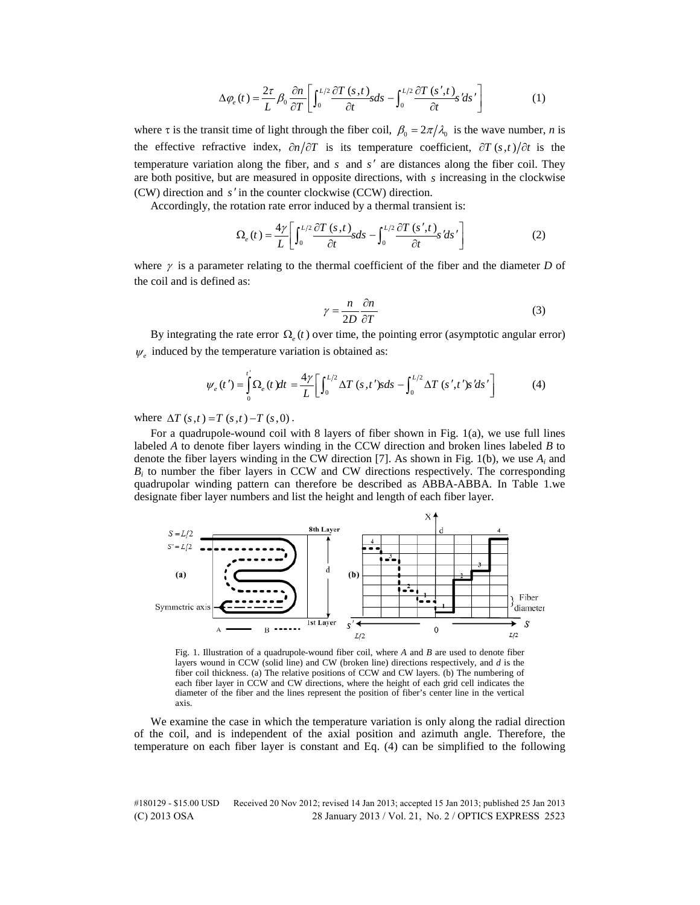$$
\Delta \varphi_{e}(t) = \frac{2\tau}{L} \beta_{0} \frac{\partial n}{\partial T} \left[ \int_{0}^{L/2} \frac{\partial T(s,t)}{\partial t} s ds - \int_{0}^{L/2} \frac{\partial T(s',t)}{\partial t} s' ds' \right]
$$
(1)

where  $\tau$  is the transit time of light through the fiber coil,  $\beta_0 = 2\pi/\lambda_0$  is the wave number, *n* is the effective refractive index,  $\partial n / \partial T$  is its temperature coefficient,  $\partial T (s,t) / \partial t$  is the temperature variation along the fiber, and  $s$  and  $s'$  are distances along the fiber coil. They are both positive, but are measured in opposite directions, with *s* increasing in the clockwise (CW) direction and *s*′ in the counter clockwise (CCW) direction.

Accordingly, the rotation rate error induced by a thermal transient is:

$$
\Omega_e(t) = \frac{4\gamma}{L} \left[ \int_0^{L/2} \frac{\partial T(s,t)}{\partial t} s ds - \int_0^{L/2} \frac{\partial T(s',t)}{\partial t} s' ds' \right]
$$
(2)

where  $\gamma$  is a parameter relating to the thermal coefficient of the fiber and the diameter *D* of the coil and is defined as:

$$
\gamma = \frac{n}{2D} \frac{\partial n}{\partial T} \tag{3}
$$

By integrating the rate error  $\Omega_{\nu}(t)$  over time, the pointing error (asymptotic angular error)  $\psi_e$  induced by the temperature variation is obtained as:

$$
\psi_e(t') = \int_0^{t'} \Omega_e(t)dt = \frac{4\gamma}{L} \bigg[ \int_0^{L/2} \Delta T(s,t')s ds - \int_0^{L/2} \Delta T(s',t')s' ds' \bigg]
$$
(4)

where  $\Delta T$   $(s, t) = T$   $(s, t) - T$   $(s, 0)$ .

For a quadrupole-wound coil with 8 layers of fiber shown in Fig. 1(a), we use full lines labeled *A* to denote fiber layers winding in the CCW direction and broken lines labeled *B* to denote the fiber layers winding in the CW direction [7]. As shown in Fig. 1(b), we use  $A_i$  and  $B_i$  to number the fiber layers in CCW and CW directions respectively. The corresponding quadrupolar winding pattern can therefore be described as ABBA-ABBA. In Table 1.we designate fiber layer numbers and list the height and length of each fiber layer.



Fig. 1. Illustration of a quadrupole-wound fiber coil, where *A* and *B* are used to denote fiber layers wound in CCW (solid line) and CW (broken line) directions respectively, and *d* is the fiber coil thickness. (a) The relative positions of CCW and CW layers. (b) The numbering of each fiber layer in CCW and CW directions, where the height of each grid cell indicates the diameter of the fiber and the lines represent the position of fiber's center line in the vertical axis.

We examine the case in which the temperature variation is only along the radial direction of the coil, and is independent of the axial position and azimuth angle. Therefore, the temperature on each fiber layer is constant and Eq. (4) can be simplified to the following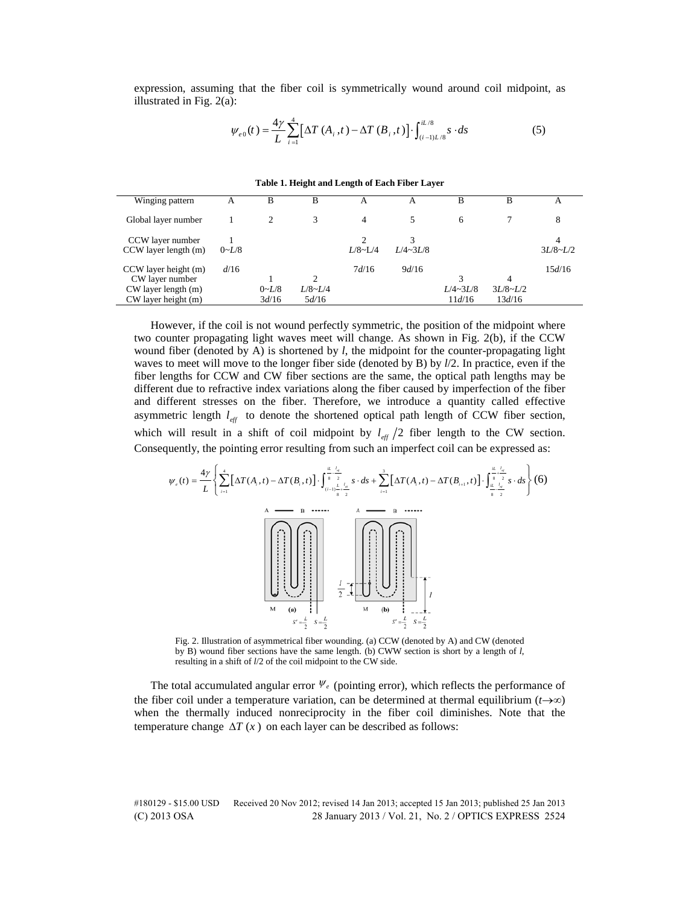expression, assuming that the fiber coil is symmetrically wound around coil midpoint, as illustrated in Fig. 2(a):

$$
\psi_{e0}(t) = \frac{4\gamma}{L} \sum_{i=1}^{4} [\Delta T(A_i, t) - \Delta T(B_i, t)] \cdot \int_{(i-1)L/8}^{L/8} s \cdot ds
$$
 (5)

**Table 1. Height and Length of Each Fiber Layer**

| Winging pattern                                                                       | А           | в                  | в                            | А              | А               | B                         | В                              | A                    |
|---------------------------------------------------------------------------------------|-------------|--------------------|------------------------------|----------------|-----------------|---------------------------|--------------------------------|----------------------|
| Global layer number                                                                   |             |                    | 3                            | 4              | 5               | 6                         |                                | 8                    |
| CCW layer number<br>$CCW$ layer length $(m)$                                          | $0\neg L/8$ |                    |                              | $L/8 \sim L/4$ | $L/4 \sim 3L/8$ |                           |                                | 4<br>$3L/8 \sim L/2$ |
| CCW layer height (m)<br>CW layer number<br>CW layer length (m)<br>CW layer height (m) | d/16        | $0 - L/8$<br>3d/16 | 2<br>$L/8 \sim L/4$<br>5d/16 | 7d/16          | 9d/16           | $L/4 \sim 3L/8$<br>11d/16 | 4<br>$3L/8 \sim L/2$<br>13d/16 | 15d/16               |

However, if the coil is not wound perfectly symmetric, the position of the midpoint where two counter propagating light waves meet will change. As shown in Fig. 2(b), if the CCW wound fiber (denoted by A) is shortened by *l*, the midpoint for the counter-propagating light waves to meet will move to the longer fiber side (denoted by B) by *l*/2. In practice, even if the fiber lengths for CCW and CW fiber sections are the same, the optical path lengths may be different due to refractive index variations along the fiber caused by imperfection of the fiber and different stresses on the fiber. Therefore, we introduce a quantity called effective asymmetric length  $l_{\text{eff}}$  to denote the shortened optical path length of CCW fiber section, which will result in a shift of coil midpoint by  $l_{\text{eff}}/2$  fiber length to the CW section. Consequently, the pointing error resulting from such an imperfect coil can be expressed as:



Fig. 2. Illustration of asymmetrical fiber wounding. (a) CCW (denoted by A) and CW (denoted by B) wound fiber sections have the same length. (b) CWW section is short by a length of *l*, resulting in a shift of *l*/2 of the coil midpoint to the CW side.

The total accumulated angular error  $\Psi_e$  (pointing error), which reflects the performance of the fiber coil under a temperature variation, can be determined at thermal equilibrium  $(t\rightarrow\infty)$ when the thermally induced nonreciprocity in the fiber coil diminishes. Note that the temperature change  $\Delta T(x)$  on each layer can be described as follows: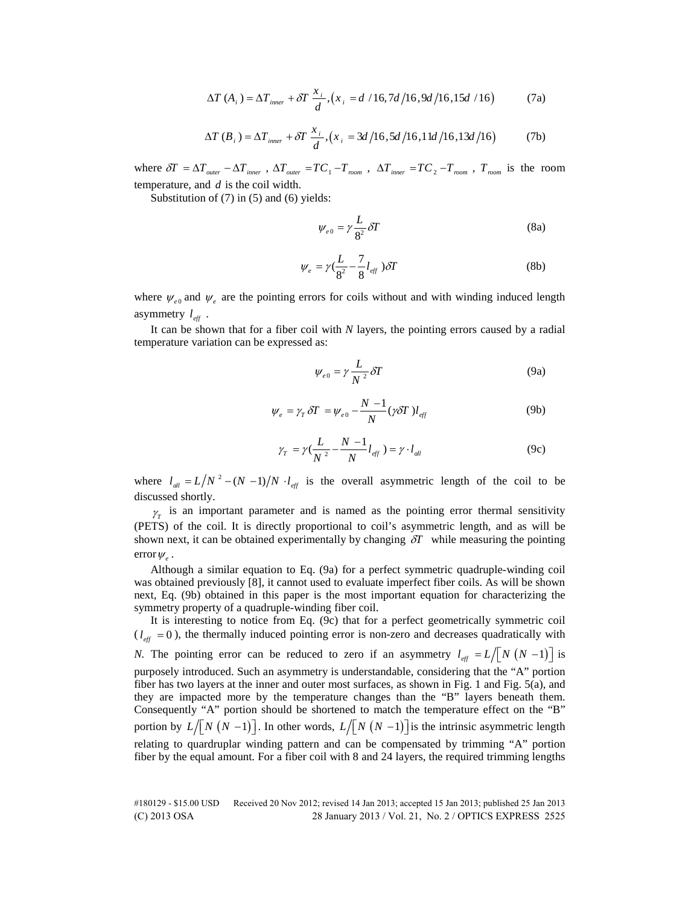$$
\Delta T(A_i) = \Delta T_{inner} + \delta T \frac{x_i}{d}, (x_i = d / 16, 7d / 16, 9d / 16, 15d / 16)
$$
 (7a)

$$
\Delta T(B_i) = \Delta T_{inner} + \delta T \frac{x_i}{d}, (x_i = 3d/16, 5d/16, 11d/16, 13d/16)
$$
 (7b)

where  $\delta T = \Delta T_{outer} - \Delta T_{inner}$ ,  $\Delta T_{outer} = TC_1 - T_{room}$ ,  $\Delta T_{inner} = TC_2 - T_{room}$ ,  $T_{room}$  is the room temperature, and *d* is the coil width.

Substitution of (7) in (5) and (6) yields:

$$
\psi_{e0} = \gamma \frac{L}{8^2} \delta T \tag{8a}
$$

$$
\psi_e = \gamma \left(\frac{L}{8^2} - \frac{7}{8} l_{\text{eff}}\right) \delta T \tag{8b}
$$

where  $\psi_{e0}$  and  $\psi_{e}$  are the pointing errors for coils without and with winding induced length asymmetry  $l_{\text{eff}}$ .

It can be shown that for a fiber coil with *N* layers, the pointing errors caused by a radial temperature variation can be expressed as:

$$
\psi_{e0} = \gamma \frac{L}{N^2} \delta T \tag{9a}
$$

$$
\psi_e = \gamma_T \, \delta T = \psi_{e0} - \frac{N-1}{N} (\gamma \delta T) l_{eff} \tag{9b}
$$

$$
\gamma_T = \gamma \left(\frac{L}{N^2} - \frac{N-1}{N} l_{\text{eff}}\right) = \gamma \cdot l_{\text{all}} \tag{9c}
$$

where  $l_{\text{all}} = L/N^2 - (N-1)/N \cdot l_{\text{eff}}$  is the overall asymmetric length of the coil to be discussed shortly.

 $\gamma$ <sub>r</sub> is an important parameter and is named as the pointing error thermal sensitivity (PETS) of the coil. It is directly proportional to coil's asymmetric length, and as will be shown next, it can be obtained experimentally by changing  $\delta T$  while measuring the pointing error  $\psi_e$ .

Although a similar equation to Eq. (9a) for a perfect symmetric quadruple-winding coil was obtained previously [8], it cannot used to evaluate imperfect fiber coils. As will be shown next, Eq. (9b) obtained in this paper is the most important equation for characterizing the symmetry property of a quadruple-winding fiber coil.

It is interesting to notice from Eq. (9c) that for a perfect geometrically symmetric coil  $(l_{\text{eff}} = 0)$ , the thermally induced pointing error is non-zero and decreases quadratically with *N*. The pointing error can be reduced to zero if an asymmetry  $l_{\text{eff}} = L / \sqrt{N(N-1)}$  is purposely introduced. Such an asymmetry is understandable, considering that the "A" portion fiber has two layers at the inner and outer most surfaces, as shown in Fig. 1 and Fig. 5(a), and they are impacted more by the temperature changes than the "B" layers beneath them. Consequently "A" portion should be shortened to match the temperature effect on the "B" portion by  $L/[N(N-1)]$ . In other words,  $L/[N(N-1)]$  is the intrinsic asymmetric length relating to quardruplar winding pattern and can be compensated by trimming "A" portion fiber by the equal amount. For a fiber coil with 8 and 24 layers, the required trimming lengths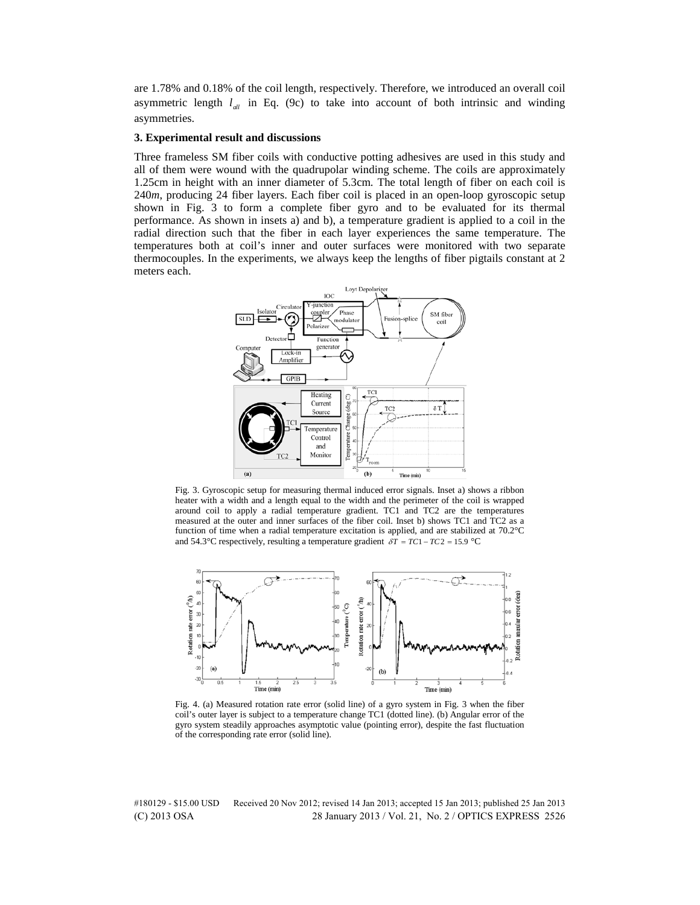are 1.78% and 0.18% of the coil length, respectively. Therefore, we introduced an overall coil asymmetric length  $l_{\text{all}}$  in Eq. (9c) to take into account of both intrinsic and winding asymmetries.

#### **3. Experimental result and discussions**

Three frameless SM fiber coils with conductive potting adhesives are used in this study and all of them were wound with the quadrupolar winding scheme. The coils are approximately 1.25cm in height with an inner diameter of 5.3cm. The total length of fiber on each coil is 240*m*, producing 24 fiber layers. Each fiber coil is placed in an open-loop gyroscopic setup shown in Fig. 3 to form a complete fiber gyro and to be evaluated for its thermal performance. As shown in insets a) and b), a temperature gradient is applied to a coil in the radial direction such that the fiber in each layer experiences the same temperature. The temperatures both at coil's inner and outer surfaces were monitored with two separate thermocouples. In the experiments, we always keep the lengths of fiber pigtails constant at 2 meters each.



Fig. 3. Gyroscopic setup for measuring thermal induced error signals. Inset a) shows a ribbon heater with a width and a length equal to the width and the perimeter of the coil is wrapped around coil to apply a radial temperature gradient. TC1 and TC2 are the temperatures measured at the outer and inner surfaces of the fiber coil. Inset b) shows TC1 and TC2 as a function of time when a radial temperature excitation is applied, and are stabilized at 70.2°C and 54.3°C respectively, resulting a temperature gradient  $\delta T = TC1 - TC2 = 15.9$ °C



Fig. 4. (a) Measured rotation rate error (solid line) of a gyro system in Fig. 3 when the fiber coil's outer layer is subject to a temperature change TC1 (dotted line). (b) Angular error of the gyro system steadily approaches asymptotic value (pointing error), despite the fast fluctuation of the corresponding rate error (solid line).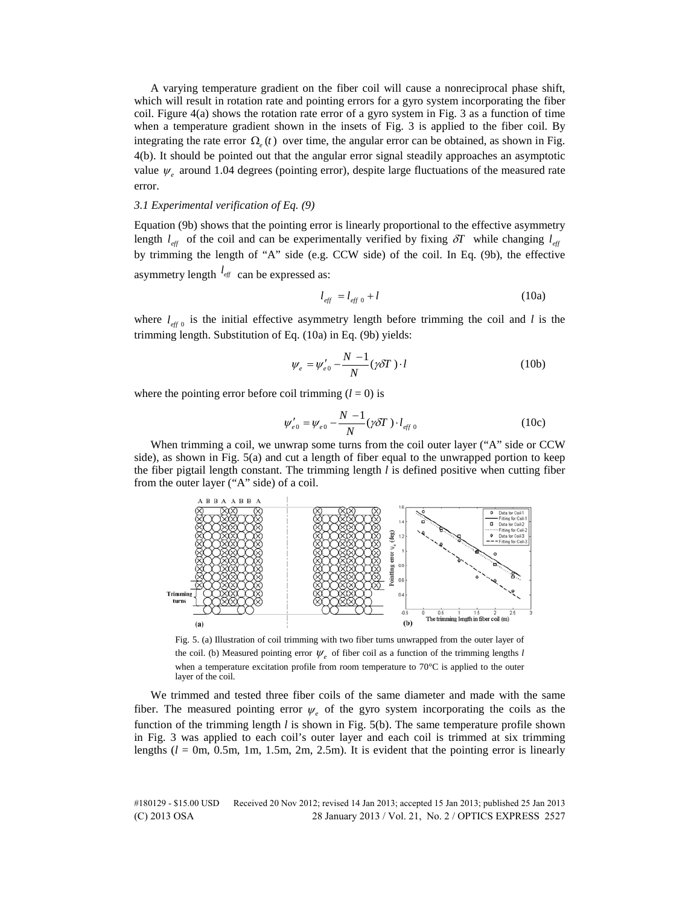A varying temperature gradient on the fiber coil will cause a nonreciprocal phase shift, which will result in rotation rate and pointing errors for a gyro system incorporating the fiber coil. Figure 4(a) shows the rotation rate error of a gyro system in Fig. 3 as a function of time when a temperature gradient shown in the insets of Fig. 3 is applied to the fiber coil. By integrating the rate error  $\Omega_{\alpha}(t)$  over time, the angular error can be obtained, as shown in Fig. 4(b). It should be pointed out that the angular error signal steadily approaches an asymptotic value  $\psi_e$  around 1.04 degrees (pointing error), despite large fluctuations of the measured rate error.

## *3.1 Experimental verification of Eq. (9)*

Equation (9b) shows that the pointing error is linearly proportional to the effective asymmetry length  $l_{\text{eff}}$  of the coil and can be experimentally verified by fixing  $\delta T$  while changing  $l_{\text{eff}}$ by trimming the length of "A" side (e.g. CCW side) of the coil. In Eq. (9b), the effective asymmetry length  $l_{\text{eff}}$  can be expressed as:

$$
l_{\text{eff}} = l_{\text{eff }0} + l \tag{10a}
$$

where  $l_{eff}$  is the initial effective asymmetry length before trimming the coil and *l* is the trimming length. Substitution of Eq. (10a) in Eq. (9b) yields:

$$
\psi_e = \psi_{e0}' - \frac{N-1}{N} (\gamma \delta T) \cdot l \tag{10b}
$$

where the pointing error before coil trimming  $(l = 0)$  is

$$
\psi'_{e0} = \psi_{e0} - \frac{N-1}{N} (\gamma \delta T) \cdot l_{eff 0}
$$
 (10c)

When trimming a coil, we unwrap some turns from the coil outer layer ("A" side or CCW side), as shown in Fig. 5(a) and cut a length of fiber equal to the unwrapped portion to keep the fiber pigtail length constant. The trimming length  $l$  is defined positive when cutting fiber from the outer layer ("A" side) of a coil.



Fig. 5. (a) Illustration of coil trimming with two fiber turns unwrapped from the outer layer of the coil. (b) Measured pointing error  $\psi$  of fiber coil as a function of the trimming lengths *l* when a temperature excitation profile from room temperature to 70°C is applied to the outer layer of the coil.

We trimmed and tested three fiber coils of the same diameter and made with the same fiber. The measured pointing error  $\psi_e$  of the gyro system incorporating the coils as the function of the trimming length *l* is shown in Fig. 5(b). The same temperature profile shown in Fig. 3 was applied to each coil's outer layer and each coil is trimmed at six trimming lengths  $(l = 0m, 0.5m, 1m, 1.5m, 2m, 2.5m)$ . It is evident that the pointing error is linearly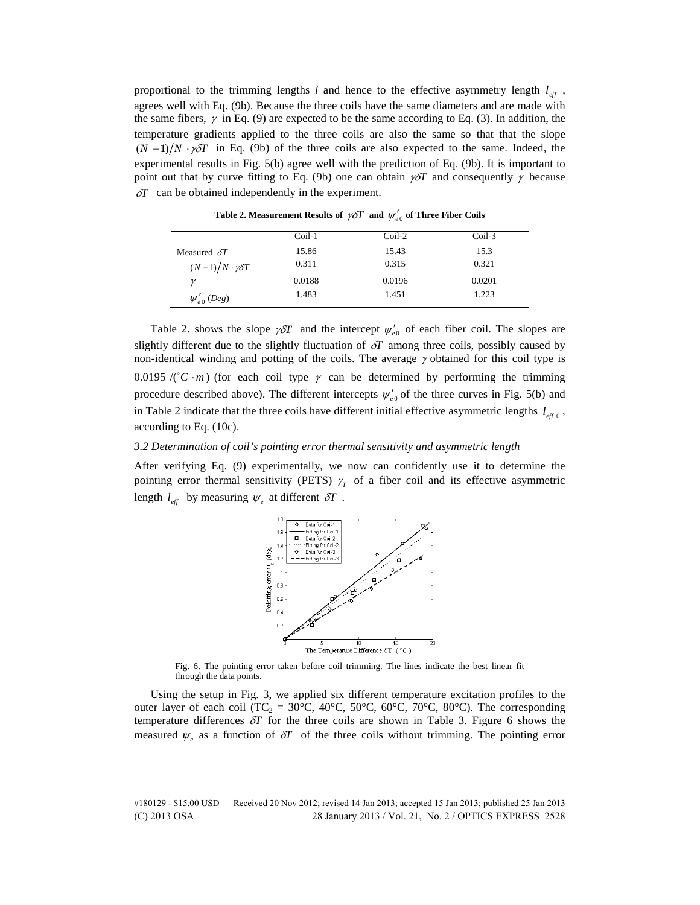proportional to the trimming lengths *l* and hence to the effective asymmetry length  $l_{\text{eff}}$ , agrees well with Eq. (9b). Because the three coils have the same diameters and are made with the same fibers,  $\gamma$  in Eq. (9) are expected to be the same according to Eq. (3). In addition, the temperature gradients applied to the three coils are also the same so that that the slope  $(N-1)/N \cdot \gamma \delta T$  in Eq. (9b) of the three coils are also expected to the same. Indeed, the experimental results in Fig. 5(b) agree well with the prediction of Eq. (9b). It is important to point out that by curve fitting to Eq. (9b) one can obtain  $\gamma \delta T$  and consequently  $\gamma$  because δ*T* can be obtained independently in the experiment.

|                                 | $Coil-1$ | $Coil-2$ | Coil-3 |
|---------------------------------|----------|----------|--------|
|                                 |          |          |        |
| Measured $\delta T$             | 15.86    | 15.43    | 15.3   |
| $(N-1)/N \cdot \gamma \delta T$ | 0.311    | 0.315    | 0.321  |
| $\mathcal V$                    | 0.0188   | 0.0196   | 0.0201 |
| $\psi'_{e0}$ (Deg)              | 1.483    | 1.451    | 1.223  |

**Table 2. Measurement Results of**  $\gamma \delta T$  **and**  $\psi_{e0}^{\prime}$  **of Three Fiber Coils** 

Table 2. shows the slope  $\gamma \delta T$  and the intercept  $\psi_{e0}^{\prime}$  of each fiber coil. The slopes are slightly different due to the slightly fluctuation of δ*T* among three coils, possibly caused by non-identical winding and potting of the coils. The average  $\gamma$  obtained for this coil type is 0.0195 /( $^{\circ}C \cdot m$ ) (for each coil type  $\gamma$  can be determined by performing the trimming procedure described above). The different intercepts  $\psi_{e0}^{\prime}$  of the three curves in Fig. 5(b) and in Table 2 indicate that the three coils have different initial effective asymmetric lengths  $l_{eff}$ <sub>0</sub>, according to Eq. (10c).

## *3.2 Determination of coil's pointing error thermal sensitivity and asymmetric length*

After verifying Eq. (9) experimentally, we now can confidently use it to determine the pointing error thermal sensitivity (PETS)  $\gamma_T$  of a fiber coil and its effective asymmetric length  $l_{\text{eff}}$  by measuring  $\psi_e$  at different  $\delta T$ .



Fig. 6. The pointing error taken before coil trimming. The lines indicate the best linear fit through the data points.

Using the setup in Fig. 3, we applied six different temperature excitation profiles to the outer layer of each coil (TC<sub>2</sub> = 30°C, 40°C, 50°C, 60°C, 70°C, 80°C). The corresponding temperature differences  $\delta T$  for the three coils are shown in Table 3. Figure 6 shows the measured  $\psi_e$  as a function of  $\delta T$  of the three coils without trimming. The pointing error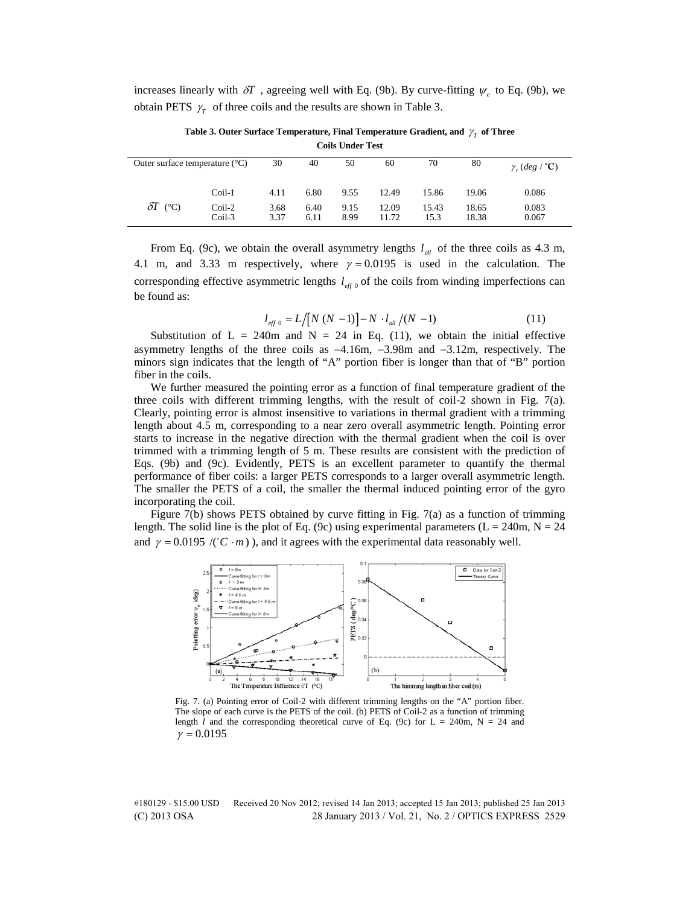increases linearly with  $\delta T$ , agreeing well with Eq. (9b). By curve-fitting  $\psi_e$  to Eq. (9b), we obtain PETS  $\gamma_r$  of three coils and the results are shown in Table 3.

**Table 3. Outer Surface Temperature, Final Temperature Gradient, and**  $\gamma$ **<sup>T</sup> of Three Coils Under Test**

| Outer surface temperature $(^{\circ}C)$ |                  | 30           | 40           | 50           | 60             | 70            | 80             | $\gamma_{\tau}$ (deg / °C) |
|-----------------------------------------|------------------|--------------|--------------|--------------|----------------|---------------|----------------|----------------------------|
|                                         | Coil-1           | 4.11         | 6.80         | 9.55         | 12.49          | 15.86         | 19.06          | 0.086                      |
| $\delta T$ (°C)                         | Coil-2<br>Coil-3 | 3.68<br>3.37 | 6.40<br>6.11 | 9.15<br>8.99 | 12.09<br>11.72 | 15.43<br>15.3 | 18.65<br>18.38 | 0.083<br>0.067             |

From Eq. (9c), we obtain the overall asymmetry lengths  $l_{all}$  of the three coils as 4.3 m, 4.1 m, and 3.33 m respectively, where  $\gamma = 0.0195$  is used in the calculation. The corresponding effective asymmetric lengths  $l_{\text{eff 0}}$  of the coils from winding imperfections can be found as:

$$
l_{eff\ 0} = L/[N(N-1)] - N \cdot l_{all}/(N-1)
$$
 (11)

Substitution of  $L = 240$ m and  $N = 24$  in Eq. (11), we obtain the initial effective asymmetry lengths of the three coils as −4.16m, −3.98m and −3.12m, respectively. The minors sign indicates that the length of "A" portion fiber is longer than that of "B" portion fiber in the coils.

We further measured the pointing error as a function of final temperature gradient of the three coils with different trimming lengths, with the result of coil-2 shown in Fig. 7(a). Clearly, pointing error is almost insensitive to variations in thermal gradient with a trimming length about 4.5 m, corresponding to a near zero overall asymmetric length. Pointing error starts to increase in the negative direction with the thermal gradient when the coil is over trimmed with a trimming length of 5 m. These results are consistent with the prediction of Eqs. (9b) and (9c). Evidently, PETS is an excellent parameter to quantify the thermal performance of fiber coils: a larger PETS corresponds to a larger overall asymmetric length. The smaller the PETS of a coil, the smaller the thermal induced pointing error of the gyro incorporating the coil.

Figure 7(b) shows PETS obtained by curve fitting in Fig. 7(a) as a function of trimming length. The solid line is the plot of Eq. (9c) using experimental parameters (L = 240m, N = 24 and  $\gamma = 0.0195 / (^{\circ}C \cdot m)$ , and it agrees with the experimental data reasonably well.



Fig. 7. (a) Pointing error of Coil-2 with different trimming lengths on the "A" portion fiber. The slope of each curve is the PETS of the coil. (b) PETS of Coil-2 as a function of trimming length *l* and the corresponding theoretical curve of Eq. (9c) for  $L = 240$ m,  $N = 24$  and  $\gamma = 0.0195$